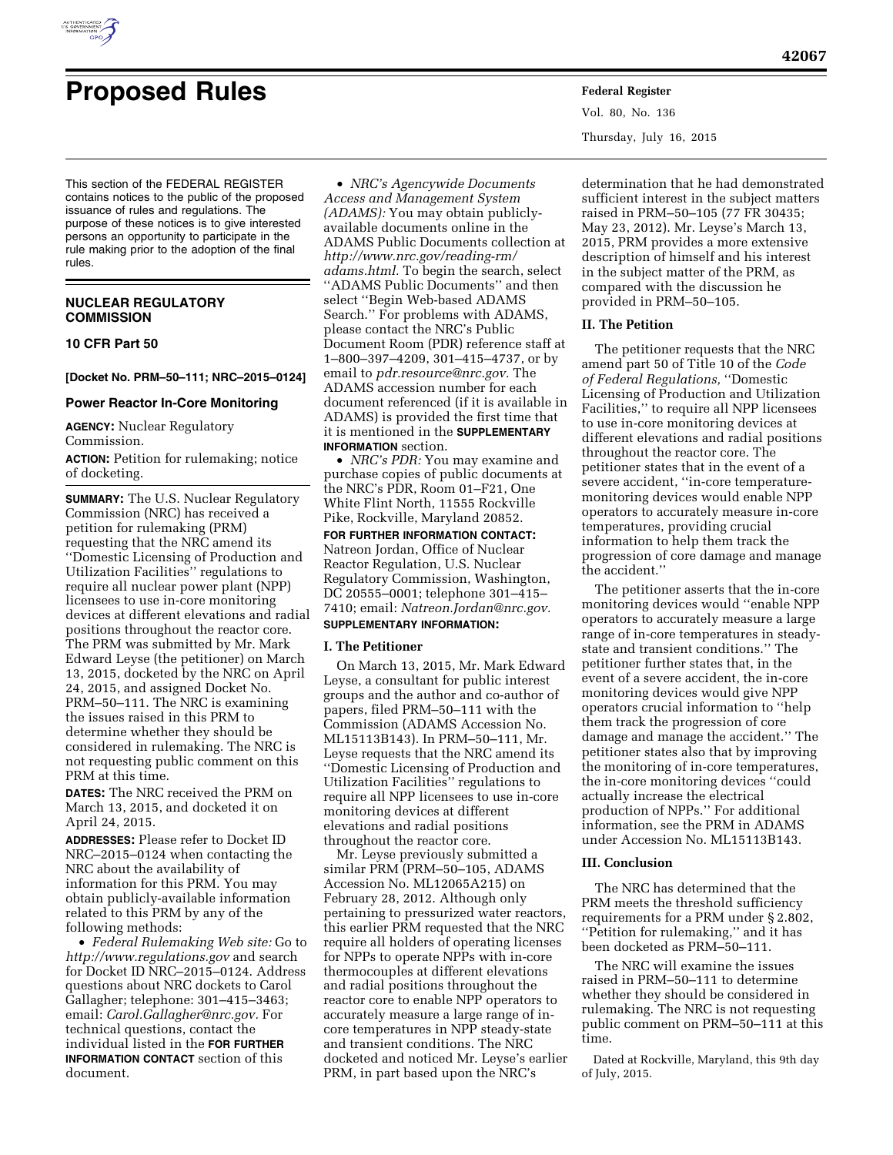

# **Proposed Rules Federal Register**

This section of the FEDERAL REGISTER contains notices to the public of the proposed issuance of rules and regulations. The purpose of these notices is to give interested persons an opportunity to participate in the rule making prior to the adoption of the final rules.

# **NUCLEAR REGULATORY COMMISSION**

# **10 CFR Part 50**

**[Docket No. PRM–50–111; NRC–2015–0124]** 

#### **Power Reactor In-Core Monitoring**

**AGENCY:** Nuclear Regulatory Commission.

**ACTION:** Petition for rulemaking; notice of docketing.

**SUMMARY:** The U.S. Nuclear Regulatory Commission (NRC) has received a petition for rulemaking (PRM) requesting that the NRC amend its ''Domestic Licensing of Production and Utilization Facilities'' regulations to require all nuclear power plant (NPP) licensees to use in-core monitoring devices at different elevations and radial positions throughout the reactor core. The PRM was submitted by Mr. Mark Edward Leyse (the petitioner) on March 13, 2015, docketed by the NRC on April 24, 2015, and assigned Docket No. PRM–50–111. The NRC is examining the issues raised in this PRM to determine whether they should be considered in rulemaking. The NRC is not requesting public comment on this PRM at this time.

**DATES:** The NRC received the PRM on March 13, 2015, and docketed it on April 24, 2015.

**ADDRESSES:** Please refer to Docket ID NRC–2015–0124 when contacting the NRC about the availability of information for this PRM. You may obtain publicly-available information related to this PRM by any of the following methods:

• *Federal Rulemaking Web site:* Go to *<http://www.regulations.gov>* and search for Docket ID NRC–2015–0124. Address questions about NRC dockets to Carol Gallagher; telephone: 301–415–3463; email: *[Carol.Gallagher@nrc.gov.](mailto:Carol.Gallagher@nrc.gov)* For technical questions, contact the individual listed in the **FOR FURTHER INFORMATION CONTACT** section of this document.

• *NRC's Agencywide Documents Access and Management System (ADAMS):* You may obtain publiclyavailable documents online in the ADAMS Public Documents collection at *[http://www.nrc.gov/reading-rm/](http://www.nrc.gov/reading-rm/adams.html) [adams.html.](http://www.nrc.gov/reading-rm/adams.html)* To begin the search, select ''ADAMS Public Documents'' and then select ''Begin Web-based ADAMS Search.'' For problems with ADAMS, please contact the NRC's Public Document Room (PDR) reference staff at 1–800–397–4209, 301–415–4737, or by email to *[pdr.resource@nrc.gov.](mailto:pdr.resource@nrc.gov)* The ADAMS accession number for each document referenced (if it is available in ADAMS) is provided the first time that it is mentioned in the **SUPPLEMENTARY INFORMATION** section.

• *NRC's PDR:* You may examine and purchase copies of public documents at the NRC's PDR, Room 01–F21, One White Flint North, 11555 Rockville Pike, Rockville, Maryland 20852.

**FOR FURTHER INFORMATION CONTACT:**  Natreon Jordan, Office of Nuclear Reactor Regulation, U.S. Nuclear Regulatory Commission, Washington, DC 20555–0001; telephone 301–415– 7410; email: *[Natreon.Jordan@nrc.gov.](mailto:Natreon.Jordan@nrc.gov)* 

# **SUPPLEMENTARY INFORMATION:**

# **I. The Petitioner**

On March 13, 2015, Mr. Mark Edward Leyse, a consultant for public interest groups and the author and co-author of papers, filed PRM–50–111 with the Commission (ADAMS Accession No. ML15113B143). In PRM–50–111, Mr. Leyse requests that the NRC amend its ''Domestic Licensing of Production and Utilization Facilities'' regulations to require all NPP licensees to use in-core monitoring devices at different elevations and radial positions throughout the reactor core.

Mr. Leyse previously submitted a similar PRM (PRM–50–105, ADAMS Accession No. ML12065A215) on February 28, 2012. Although only pertaining to pressurized water reactors, this earlier PRM requested that the NRC require all holders of operating licenses for NPPs to operate NPPs with in-core thermocouples at different elevations and radial positions throughout the reactor core to enable NPP operators to accurately measure a large range of incore temperatures in NPP steady-state and transient conditions. The NRC docketed and noticed Mr. Leyse's earlier PRM, in part based upon the NRC's

Vol. 80, No. 136 Thursday, July 16, 2015

determination that he had demonstrated sufficient interest in the subject matters raised in PRM–50–105 (77 FR 30435; May 23, 2012). Mr. Leyse's March 13, 2015, PRM provides a more extensive description of himself and his interest in the subject matter of the PRM, as compared with the discussion he provided in PRM–50–105.

#### **II. The Petition**

The petitioner requests that the NRC amend part 50 of Title 10 of the *Code of Federal Regulations,* ''Domestic Licensing of Production and Utilization Facilities,'' to require all NPP licensees to use in-core monitoring devices at different elevations and radial positions throughout the reactor core. The petitioner states that in the event of a severe accident, ''in-core temperaturemonitoring devices would enable NPP operators to accurately measure in-core temperatures, providing crucial information to help them track the progression of core damage and manage the accident.''

The petitioner asserts that the in-core monitoring devices would ''enable NPP operators to accurately measure a large range of in-core temperatures in steadystate and transient conditions.'' The petitioner further states that, in the event of a severe accident, the in-core monitoring devices would give NPP operators crucial information to ''help them track the progression of core damage and manage the accident.'' The petitioner states also that by improving the monitoring of in-core temperatures, the in-core monitoring devices ''could actually increase the electrical production of NPPs.'' For additional information, see the PRM in ADAMS under Accession No. ML15113B143.

#### **III. Conclusion**

The NRC has determined that the PRM meets the threshold sufficiency requirements for a PRM under § 2.802, ''Petition for rulemaking,'' and it has been docketed as PRM–50–111.

The NRC will examine the issues raised in PRM–50–111 to determine whether they should be considered in rulemaking. The NRC is not requesting public comment on PRM–50–111 at this time.

Dated at Rockville, Maryland, this 9th day of July, 2015.